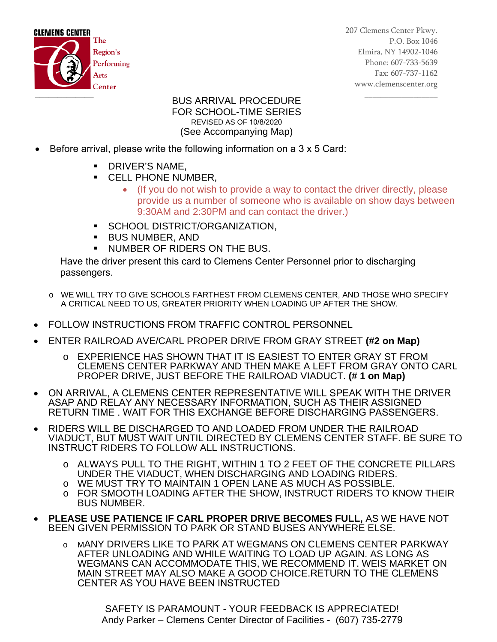

207 Clemens Center Pkwy. P.O. Box 1046 Elmira, NY 14902-1046 Phone: 607-733-5639 Fax: 607-737-1162 www.clemenscenter.org

## \_\_\_\_\_\_\_\_\_\_\_\_\_\_\_\_\_\_ BUS ARRIVAL PROCEDURE FOR SCHOOL-TIME SERIES REVISED AS OF 10/8/2020 (See Accompanying Map)

- Before arrival, please write the following information on a 3 x 5 Card:
	- **DRIVER'S NAME,**
	- **CELL PHONE NUMBER.** 
		- (If you do not wish to provide a way to contact the driver directly, please provide us a number of someone who is available on show days between 9:30AM and 2:30PM and can contact the driver.)
	- **SCHOOL DISTRICT/ORGANIZATION,**
	- BUS NUMBER, AND
	- **NUMBER OF RIDERS ON THE BUS.**

Have the driver present this card to Clemens Center Personnel prior to discharging passengers.

- o WE WILL TRY TO GIVE SCHOOLS FARTHEST FROM CLEMENS CENTER, AND THOSE WHO SPECIFY A CRITICAL NEED TO US, GREATER PRIORITY WHEN LOADING UP AFTER THE SHOW.
- FOLLOW INSTRUCTIONS FROM TRAFFIC CONTROL PERSONNEL
- ENTER RAILROAD AVE/CARL PROPER DRIVE FROM GRAY STREET **(#2 on Map)**
	- o EXPERIENCE HAS SHOWN THAT IT IS EASIEST TO ENTER GRAY ST FROM CLEMENS CENTER PARKWAY AND THEN MAKE A LEFT FROM GRAY ONTO CARL PROPER DRIVE, JUST BEFORE THE RAILROAD VIADUCT. **(# 1 on Map)**
- ON ARRIVAL, A CLEMENS CENTER REPRESENTATIVE WILL SPEAK WITH THE DRIVER ASAP AND RELAY ANY NECESSARY INFORMATION, SUCH AS THEIR ASSIGNED RETURN TIME . WAIT FOR THIS EXCHANGE BEFORE DISCHARGING PASSENGERS.
- RIDERS WILL BE DISCHARGED TO AND LOADED FROM UNDER THE RAILROAD VIADUCT, BUT MUST WAIT UNTIL DIRECTED BY CLEMENS CENTER STAFF. BE SURE TO INSTRUCT RIDERS TO FOLLOW ALL INSTRUCTIONS.
	- o ALWAYS PULL TO THE RIGHT, WITHIN 1 TO 2 FEET OF THE CONCRETE PILLARS UNDER THE VIADUCT, WHEN DISCHARGING AND LOADING RIDERS.
	- o WE MUST TRY TO MAINTAIN 1 OPEN LANE AS MUCH AS POSSIBLE.
	- o FOR SMOOTH LOADING AFTER THE SHOW, INSTRUCT RIDERS TO KNOW THEIR BUS NUMBER.
- **PLEASE USE PATIENCE IF CARL PROPER DRIVE BECOMES FULL,** AS WE HAVE NOT BEEN GIVEN PERMISSION TO PARK OR STAND BUSES ANYWHERE ELSE.
	- o MANY DRIVERS LIKE TO PARK AT WEGMANS ON CLEMENS CENTER PARKWAY AFTER UNLOADING AND WHILE WAITING TO LOAD UP AGAIN. AS LONG AS WEGMANS CAN ACCOMMODATE THIS, WE RECOMMEND IT. WEIS MARKET ON MAIN STREET MAY ALSO MAKE A GOOD CHOICE.RETURN TO THE CLEMENS CENTER AS YOU HAVE BEEN INSTRUCTED